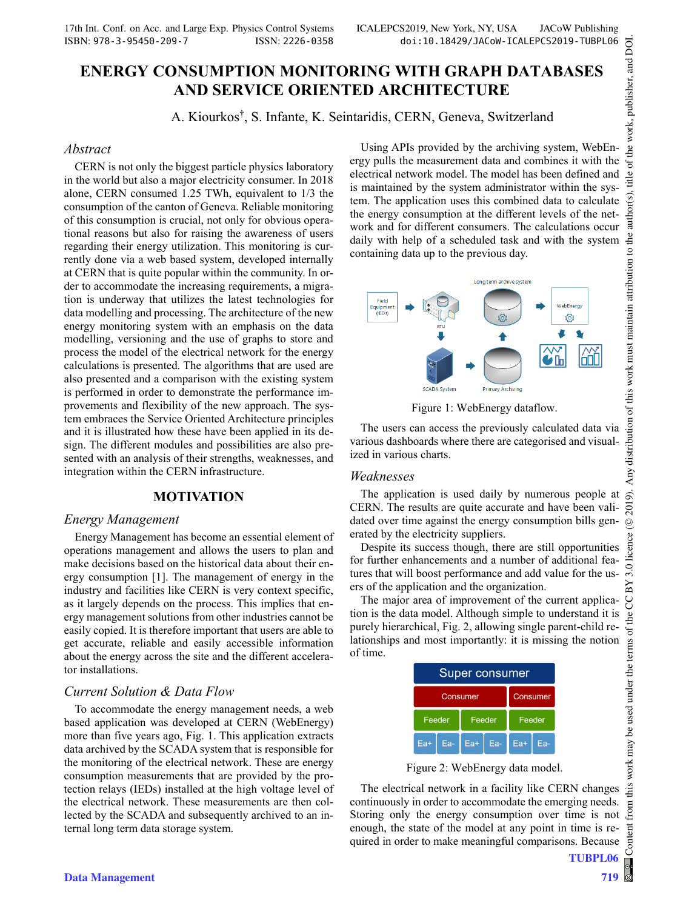# **ENERGY CONSUMPTION MONITORING WITH GRAPH DATABASES AND SERVICE ORIENTED ARCHITECTURE**

A. Kiourkos† , S. Infante, K. Seintaridis, CERN, Geneva, Switzerland

#### *Abstract*

CERN is not only the biggest particle physics laboratory in the world but also a major electricity consumer. In 2018 alone, CERN consumed 1.25 TWh, equivalent to 1/3 the consumption of the canton of Geneva. Reliable monitoring of this consumption is crucial, not only for obvious operational reasons but also for raising the awareness of users regarding their energy utilization. This monitoring is currently done via a web based system, developed internally at CERN that is quite popular within the community. In order to accommodate the increasing requirements, a migration is underway that utilizes the latest technologies for data modelling and processing. The architecture of the new energy monitoring system with an emphasis on the data modelling, versioning and the use of graphs to store and process the model of the electrical network for the energy calculations is presented. The algorithms that are used are also presented and a comparison with the existing system is performed in order to demonstrate the performance improvements and flexibility of the new approach. The system embraces the Service Oriented Architecture principles and it is illustrated how these have been applied in its design. The different modules and possibilities are also presented with an analysis of their strengths, weaknesses, and integration within the CERN infrastructure.

# **MOTIVATION**

# *Energy Management*

Energy Management has become an essential element of operations management and allows the users to plan and make decisions based on the historical data about their energy consumption [1]. The management of energy in the industry and facilities like CERN is very context specific, as it largely depends on the process. This implies that energy management solutions from other industries cannot be easily copied. It is therefore important that users are able to get accurate, reliable and easily accessible information about the energy across the site and the different accelerator installations.

# *Current Solution & Data Flow*

To accommodate the energy management needs, a web based application was developed at CERN (WebEnergy) more than five years ago, Fig. 1. This application extracts data archived by the SCADA system that is responsible for the monitoring of the electrical network. These are energy consumption measurements that are provided by the protection relays (IEDs) installed at the high voltage level of the electrical network. These measurements are then collected by the SCADA and subsequently archived to an internal long term data storage system.

Using APIs provided by the archiving system, WebEnergy pulls the measurement data and combines it with the electrical network model. The model has been defined and is maintained by the system administrator within the system. The application uses this combined data to calculate the energy consumption at the different levels of the network and for different consumers. The calculations occur daily with help of a scheduled task and with the system containing data up to the previous day.



Figure 1: WebEnergy dataflow.

The users can access the previously calculated data via various dashboards where there are categorised and visualized in various charts.

#### *Weaknesses*

The application is used daily by numerous people at CERN. The results are quite accurate and have been validated over time against the energy consumption bills generated by the electricity suppliers.

Despite its success though, there are still opportunities for further enhancements and a number of additional features that will boost performance and add value for the users of the application and the organization.

The major area of improvement of the current application is the data model. Although simple to understand it is purely hierarchical, Fig. 2, allowing single parent-child relationships and most importantly: it is missing the notion of time.

| <b>Super consumer</b> |     |        |     |          |     |  |
|-----------------------|-----|--------|-----|----------|-----|--|
| Consumer              |     |        |     | Consumer |     |  |
| Feeder                |     | Feeder |     | Feeder   |     |  |
| Ea+                   | Ea- | Ea+    | Ea- | $Ea+$    | Fa- |  |

Figure 2: WebEnergy data model.

The electrical network in a facility like CERN changes continuously in order to accommodate the emerging needs. Storing only the energy consumption over time is not enough, the state of the model at any point in time is required in order to make meaningful comparisons. Because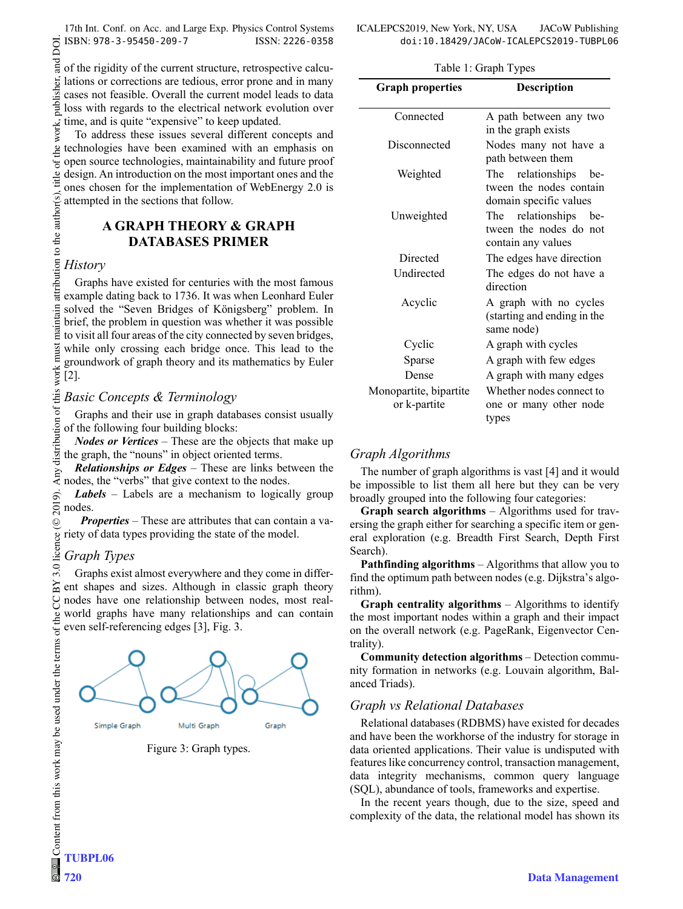17th Int. Conf. on Acc. and Large Exp. Physics Control Systems ICALEPCS2019, New York, NY, USA JACoW Publishing ISBN: 978-3-95450-209-7 ISSN: 2226-0358 doi:10.18429/JACoW-ICALEPCS2019-TUBPL06

 $\frac{1}{1}$ of the rigidity of the current structure, retrospective calculations or corrections are tedious, error prone and in many cases not feasible. Overall the current model leads to data loss with regards to the electrical network evolution over time, and is quite "expensive" to keep updated.

To address these issues several different concepts and technologies have been examined with an emphasis on open source technologies, maintainability and future proof design. An introduction on the most important ones and the ones chosen for the implementation of WebEnergy 2.0 is attempted in the sections that follow.

# **A GRAPH THEORY & GRAPH DATABASES PRIMER**

#### *History*

DOI.

Graphs have existed for centuries with the most famous example dating back to 1736. It was when Leonhard Euler solved the "Seven Bridges of Königsberg" problem. In brief, the problem in question was whether it was possible to visit all four areas of the city connected by seven bridges, while only crossing each bridge once. This lead to the groundwork of graph theory and its mathematics by Euler [2].

#### *Basic Concepts & Terminology*

Graphs and their use in graph databases consist usually of the following four building blocks:

*Nodes or Vertices* – These are the objects that make up the graph, the "nouns" in object oriented terms.

*Relationships or Edges* – These are links between the nodes, the "verbs" that give context to the nodes.

*Labels* – Labels are a mechanism to logically group nodes.

 *Properties* – These are attributes that can contain a variety of data types providing the state of the model.

### *Graph Types*

**720**

Graphs exist almost everywhere and they come in different shapes and sizes. Although in classic graph theory nodes have one relationship between nodes, most realworld graphs have many relationships and can contain even self-referencing edges [3], Fig. 3.



Figure 3: Graph types.

Table 1: Graph Types

| <b>Graph properties</b>                | <b>Description</b>                                                            |  |  |
|----------------------------------------|-------------------------------------------------------------------------------|--|--|
| Connected                              | A path between any two<br>in the graph exists                                 |  |  |
| Disconnected                           | Nodes many not have a<br>path between them                                    |  |  |
| Weighted                               | relationships be-<br>The<br>tween the nodes contain<br>domain specific values |  |  |
| Unweighted                             | relationships be-<br>The<br>tween the nodes do not<br>contain any values      |  |  |
| Directed                               | The edges have direction                                                      |  |  |
| Undirected                             | The edges do not have a<br>direction                                          |  |  |
| Acyclic                                | A graph with no cycles<br>(starting and ending in the<br>same node)           |  |  |
| Cyclic                                 | A graph with cycles                                                           |  |  |
| Sparse                                 | A graph with few edges                                                        |  |  |
| Dense                                  | A graph with many edges                                                       |  |  |
| Monopartite, bipartite<br>or k-partite | Whether nodes connect to<br>one or many other node<br>types                   |  |  |

#### *Graph Algorithms*

The number of graph algorithms is vast [4] and it would be impossible to list them all here but they can be very broadly grouped into the following four categories:

**Graph search algorithms** – Algorithms used for traversing the graph either for searching a specific item or general exploration (e.g. Breadth First Search, Depth First Search).

**Pathfinding algorithms** – Algorithms that allow you to find the optimum path between nodes (e.g. Dijkstra's algorithm).

**Graph centrality algorithms** – Algorithms to identify the most important nodes within a graph and their impact on the overall network (e.g. PageRank, Eigenvector Centrality).

**Community detection algorithms** – Detection community formation in networks (e.g. Louvain algorithm, Balanced Triads).

#### *Graph vs Relational Databases*

Relational databases (RDBMS) have existed for decades and have been the workhorse of the industry for storage in data oriented applications. Their value is undisputed with features like concurrency control, transaction management, data integrity mechanisms, common query language (SQL), abundance of tools, frameworks and expertise.

In the recent years though, due to the size, speed and complexity of the data, the relational model has shown its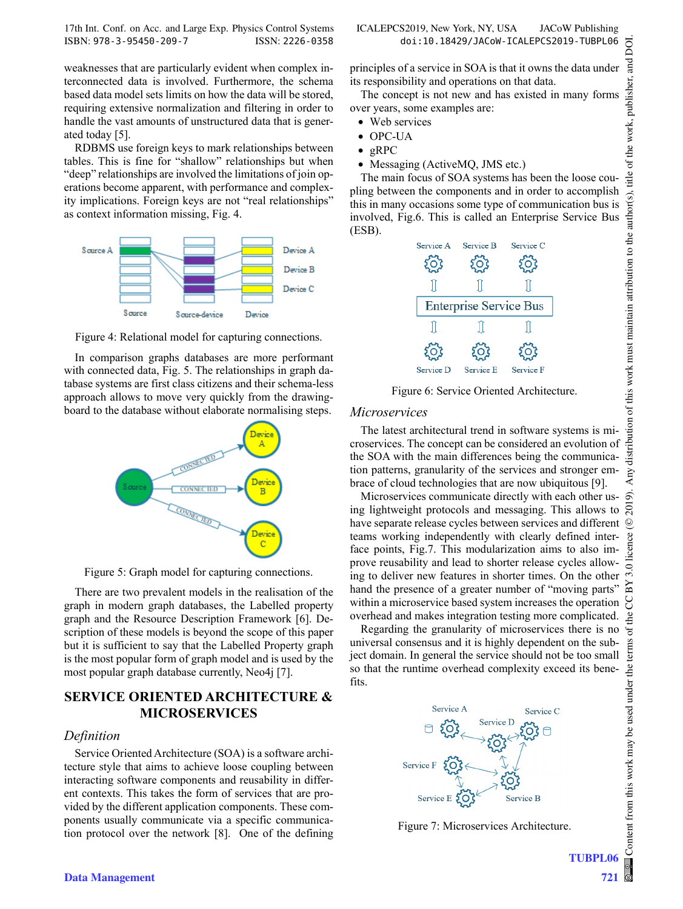weaknesses that are particularly evident when complex interconnected data is involved. Furthermore, the schema based data model sets limits on how the data will be stored, requiring extensive normalization and filtering in order to handle the vast amounts of unstructured data that is generated today [5].

RDBMS use foreign keys to mark relationships between tables. This is fine for "shallow" relationships but when "deep" relationships are involved the limitations of join operations become apparent, with performance and complexity implications. Foreign keys are not "real relationships" as context information missing, Fig. 4.



Figure 4: Relational model for capturing connections.

In comparison graphs databases are more performant with connected data, Fig. 5. The relationships in graph database systems are first class citizens and their schema-less approach allows to move very quickly from the drawingboard to the database without elaborate normalising steps.



Figure 5: Graph model for capturing connections.

There are two prevalent models in the realisation of the graph in modern graph databases, the Labelled property graph and the Resource Description Framework [6]. Description of these models is beyond the scope of this paper but it is sufficient to say that the Labelled Property graph is the most popular form of graph model and is used by the most popular graph database currently, Neo4j [7].

# **SERVICE ORIENTED ARCHITECTURE & MICROSERVICES**

# *Definition*

Service Oriented Architecture (SOA) is a software architecture style that aims to achieve loose coupling between interacting software components and reusability in different contexts. This takes the form of services that are provided by the different application components. These components usually communicate via a specific communication protocol over the network [8]. One of the defining principles of a service in SOA is that it owns the data under its responsibility and operations on that data.

The concept is not new and has existed in many forms over years, some examples are:

- Web services
- OPC-UA
- gRPC
- Messaging (ActiveMQ, JMS etc.)

The main focus of SOA systems has been the loose coupling between the components and in order to accomplish this in many occasions some type of communication bus is involved, Fig.6. This is called an Enterprise Service Bus (ESB).



Figure 6: Service Oriented Architecture.

#### *Microservices*

The latest architectural trend in software systems is microservices. The concept can be considered an evolution of the SOA with the main differences being the communication patterns, granularity of the services and stronger embrace of cloud technologies that are now ubiquitous [9].

Microservices communicate directly with each other using lightweight protocols and messaging. This allows to have separate release cycles between services and different teams working independently with clearly defined interface points, Fig.7. This modularization aims to also improve reusability and lead to shorter release cycles allowing to deliver new features in shorter times. On the other hand the presence of a greater number of "moving parts" within a microservice based system increases the operation overhead and makes integration testing more complicated.

Regarding the granularity of microservices there is no universal consensus and it is highly dependent on the subject domain. In general the service should not be too small so that the runtime overhead complexity exceed its benefits.



Figure 7: Microservices Architecture.

**TUBPL06**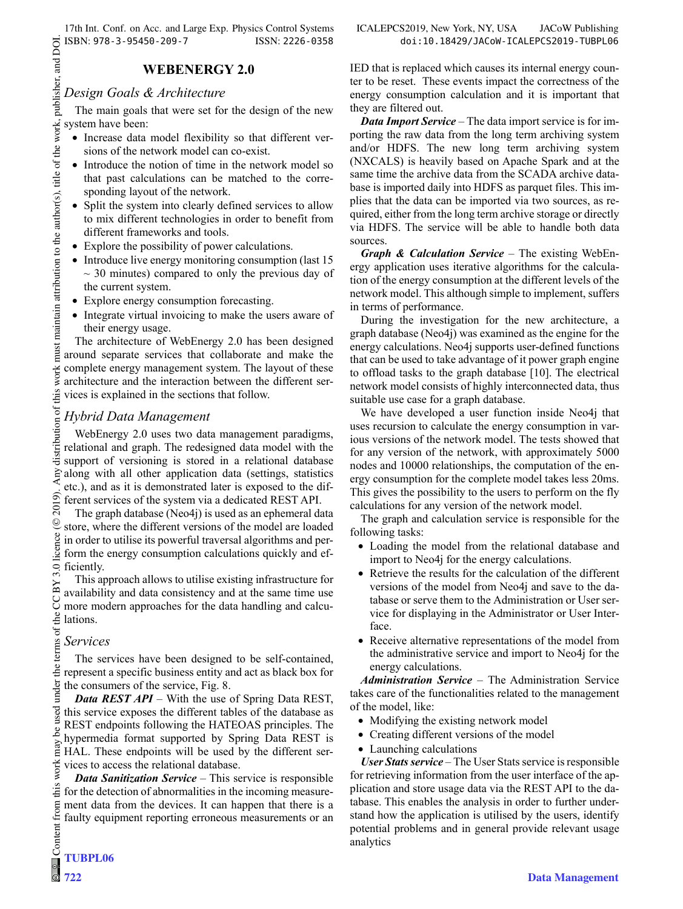# **WEBENERGY 2.0**

# *Design Goals & Architecture*

The main goals that were set for the design of the new system have been:

- Increase data model flexibility so that different versions of the network model can co-exist.
- Introduce the notion of time in the network model so that past calculations can be matched to the corresponding layout of the network.
- Split the system into clearly defined services to allow to mix different technologies in order to benefit from different frameworks and tools.
- Explore the possibility of power calculations.
- Introduce live energy monitoring consumption (last 15)  $\sim$  30 minutes) compared to only the previous day of the current system.
- Explore energy consumption forecasting.
- Integrate virtual invoicing to make the users aware of their energy usage.

maintain attribution to the author(s), title of the work, publisher, and DOI. The architecture of WebEnergy 2.0 has been designed around separate services that collaborate and make the complete energy management system. The layout of these architecture and the interaction between the different services is explained in the sections that follow.

# *Hybrid Data Management*

 $\circledcirc$  2019). Any distribution of this work must maintain attribution to the author(s), title of the work, publisher, and DOI. WebEnergy 2.0 uses two data management paradigms, relational and graph. The redesigned data model with the support of versioning is stored in a relational database  $\overline{H}$ along with all other application data (settings, statistics etc.), and as it is demonstrated later is exposed to the different services of the system via a dedicated REST API.  $\overline{5}$ 

The graph database (Neo4j) is used as an ephemeral data store, where the different versions of the model are loaded in order to utilise its powerful traversal algorithms and perform the energy consumption calculations quickly and ef- $3.01$ ficiently.

This approach allows to utilise existing infrastructure for availability and data consistency and at the same time use more modern approaches for the data handling and calculations.

# terms of *Services*

©

licence

 $_{\rm BV}$ S de

the i

Le may

 $\overline{9}$ 

nust

this work

distribution of

The services have been designed to be self-contained, represent a specific business entity and act as black box for the consumers of the service, Fig. 8.

under *Data REST API* – With the use of Spring Data REST, this service exposes the different tables of the database as REST endpoints following the HATEOAS principles. The hypermedia format supported by Spring Data REST is HAL. These endpoints will be used by the different services to access the relational database.

*Data Sanitization Service* – This service is responsible  $\ddot{\ddot{\Xi}}$  for the detection of abnormalities in the incoming measurement data from the devices. It can happen that there is a faulty equipment reporting erroneous measurements or an

*Data Import Service* – The data import service is for importing the raw data from the long term archiving system and/or HDFS. The new long term archiving system (NXCALS) is heavily based on Apache Spark and at the same time the archive data from the SCADA archive database is imported daily into HDFS as parquet files. This implies that the data can be imported via two sources, as required, either from the long term archive storage or directly via HDFS. The service will be able to handle both data sources.

*Graph & Calculation Service* – The existing WebEnergy application uses iterative algorithms for the calculation of the energy consumption at the different levels of the network model. This although simple to implement, suffers in terms of performance.

During the investigation for the new architecture, a graph database (Neo4j) was examined as the engine for the energy calculations. Neo4j supports user-defined functions that can be used to take advantage of it power graph engine to offload tasks to the graph database [10]. The electrical network model consists of highly interconnected data, thus suitable use case for a graph database.

We have developed a user function inside Neo4j that uses recursion to calculate the energy consumption in various versions of the network model. The tests showed that for any version of the network, with approximately 5000 nodes and 10000 relationships, the computation of the energy consumption for the complete model takes less 20ms. This gives the possibility to the users to perform on the fly calculations for any version of the network model.

The graph and calculation service is responsible for the following tasks:

- Loading the model from the relational database and import to Neo4j for the energy calculations.
- Retrieve the results for the calculation of the different versions of the model from Neo4j and save to the database or serve them to the Administration or User service for displaying in the Administrator or User Interface.
- Receive alternative representations of the model from the administrative service and import to Neo4j for the energy calculations.

*Administration Service* – The Administration Service takes care of the functionalities related to the management of the model, like:

- Modifying the existing network model
- Creating different versions of the model
- Launching calculations

*User Stats service* – The User Stats service is responsible for retrieving information from the user interface of the application and store usage data via the REST API to the database. This enables the analysis in order to further understand how the application is utilised by the users, identify potential problems and in general provide relevant usage analytics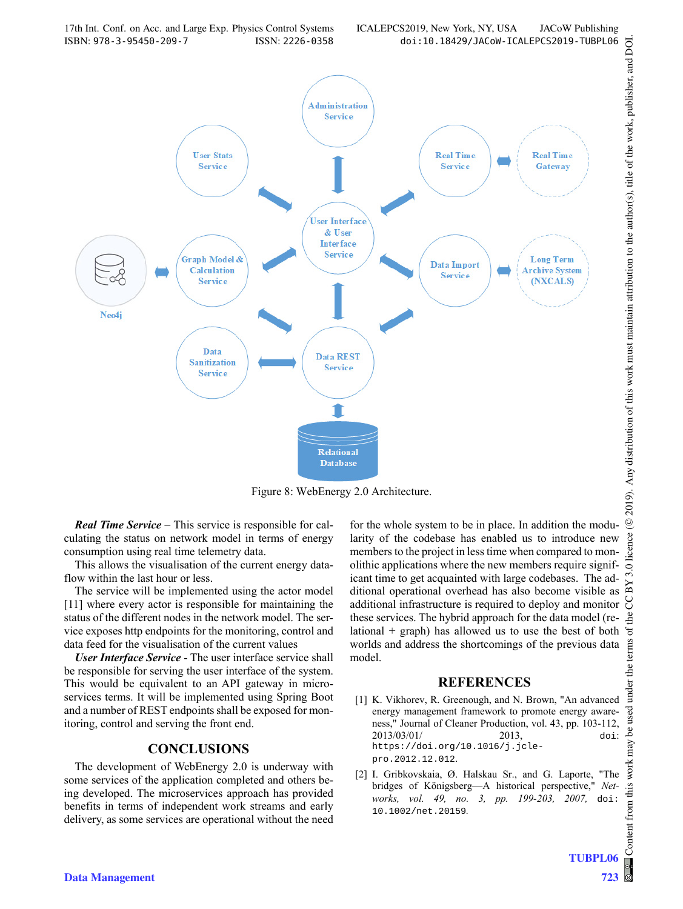

Figure 8: WebEnergy 2.0 Architecture.

*Real Time Service* – This service is responsible for calculating the status on network model in terms of energy consumption using real time telemetry data.

This allows the visualisation of the current energy dataflow within the last hour or less.

The service will be implemented using the actor model [11] where every actor is responsible for maintaining the status of the different nodes in the network model. The service exposes http endpoints for the monitoring, control and data feed for the visualisation of the current values

*User Interface Service* - The user interface service shall be responsible for serving the user interface of the system. This would be equivalent to an API gateway in microservices terms. It will be implemented using Spring Boot and a number of REST endpoints shall be exposed for monitoring, control and serving the front end.

# **CONCLUSIONS**

The development of WebEnergy 2.0 is underway with some services of the application completed and others being developed. The microservices approach has provided benefits in terms of independent work streams and early delivery, as some services are operational without the need for the whole system to be in place. In addition the modularity of the codebase has enabled us to introduce new members to the project in less time when compared to monolithic applications where the new members require significant time to get acquainted with large codebases. The additional operational overhead has also become visible as additional infrastructure is required to deploy and monitor these services. The hybrid approach for the data model (relational  $+$  graph) has allowed us to use the best of both worlds and address the shortcomings of the previous data model.

# **REFERENCES**

- [1] K. Vikhorev, R. Greenough, and N. Brown, "An advanced energy management framework to promote energy awareness," Journal of Cleaner Production, vol. 43, pp. 103-112, 2013/03/01/ 2013, doi: https://doi.org/10.1016/j.jclepro.2012.12.012.
- [2] I. Gribkovskaia, Ø. Halskau Sr., and G. Laporte, "The bridges of Königsberg—A historical perspective," *Networks, vol. 49, no. 3, pp. 199-203, 2007, doi:*  $\frac{2007}{49}$ <br>10.1002/net.20159. 10.1002/net.20159*.*